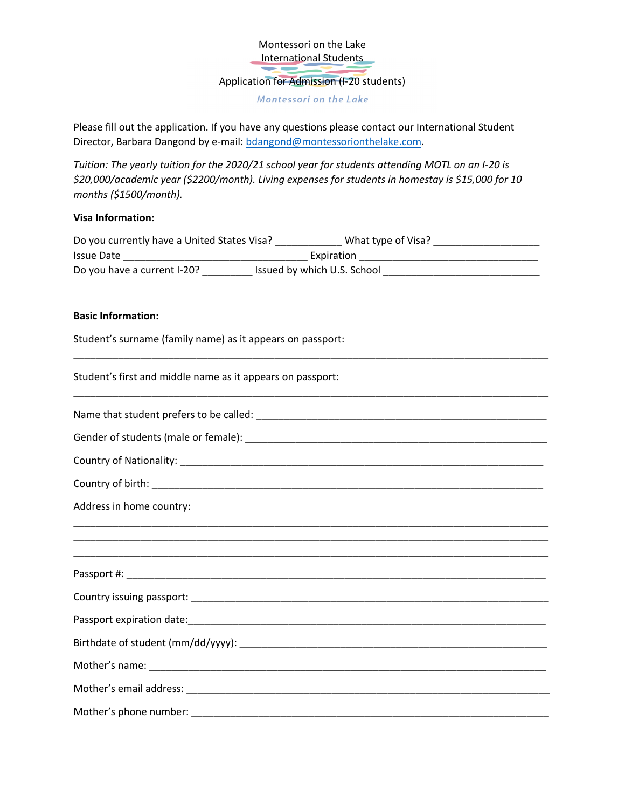Montessori on the Lake **International Students** 

Application for Admission (I-20 students)

Montessori on the Lake

Please fill out the application. If you have any questions please contact our International Student Director, Barbara Dangond by e-mail: bdangond@montessorionthelake.com.

*Tuition: The yearly tuition for the 2020/21 school year for students attending MOTL on an I-20 is \$20,000/academic year (\$2200/month). Living expenses for students in homestay is \$15,000 for 10 months (\$1500/month).* 

#### **Visa Information:**

| Do you currently have a United States Visa? | What type of Visa?          |  |
|---------------------------------------------|-----------------------------|--|
| <b>Issue Date</b>                           | Expiration                  |  |
| Do you have a current I-20?                 | Issued by which U.S. School |  |

\_\_\_\_\_\_\_\_\_\_\_\_\_\_\_\_\_\_\_\_\_\_\_\_\_\_\_\_\_\_\_\_\_\_\_\_\_\_\_\_\_\_\_\_\_\_\_\_\_\_\_\_\_\_\_\_\_\_\_\_\_\_\_\_\_\_\_\_\_\_\_\_\_\_\_\_\_\_\_\_\_\_\_\_\_

\_\_\_\_\_\_\_\_\_\_\_\_\_\_\_\_\_\_\_\_\_\_\_\_\_\_\_\_\_\_\_\_\_\_\_\_\_\_\_\_\_\_\_\_\_\_\_\_\_\_\_\_\_\_\_\_\_\_\_\_\_\_\_\_\_\_\_\_\_\_\_\_\_\_\_\_\_\_\_\_\_\_\_\_\_

#### **Basic Information:**

Student's surname (family name) as it appears on passport:

Student's first and middle name as it appears on passport:

| Address in home country:                                                          |
|-----------------------------------------------------------------------------------|
| ,我们也不能会在这里,我们的人们就会在这里,我们也不能会在这里,我们也不能会在这里,我们也不能会在这里,我们也不能会在这里,我们也不能会不能会不能会。""我们,我 |
|                                                                                   |
|                                                                                   |
|                                                                                   |
|                                                                                   |
|                                                                                   |
|                                                                                   |
|                                                                                   |
|                                                                                   |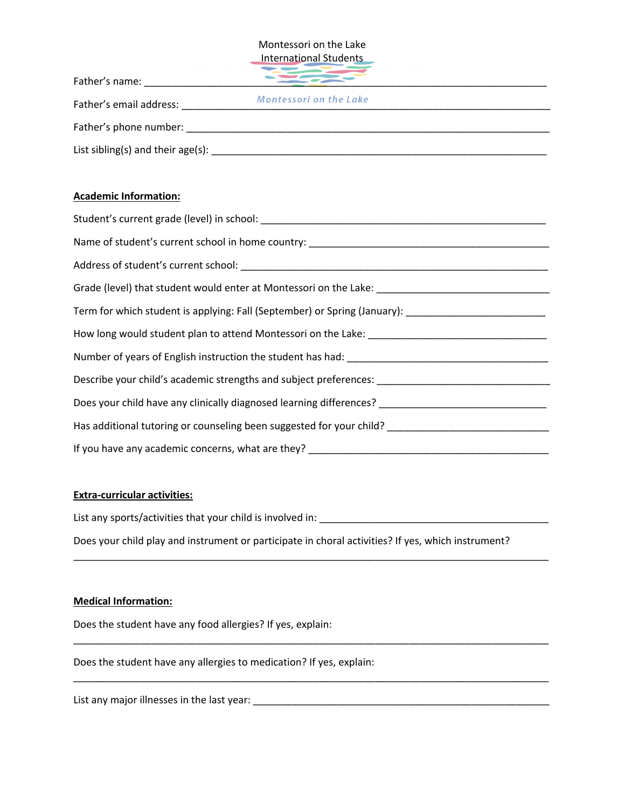#### Montessori on the Lake International Students

| Father's name:                      |                               |  |
|-------------------------------------|-------------------------------|--|
| Father's email address:             | <b>Montessori on the Lake</b> |  |
| Father's phone number:              |                               |  |
| List sibling(s) and their $age(s):$ |                               |  |

## **Academic Information:**

| Name of student's current school in home country: _______________________________                   |
|-----------------------------------------------------------------------------------------------------|
|                                                                                                     |
| Grade (level) that student would enter at Montessori on the Lake: _________________________________ |
| Term for which student is applying: Fall (September) or Spring (January): _________________________ |
|                                                                                                     |
|                                                                                                     |
| Describe your child's academic strengths and subject preferences:                                   |
| Does your child have any clinically diagnosed learning differences? _______________________________ |
| Has additional tutoring or counseling been suggested for your child? ______________________________ |
| If you have any academic concerns, what are they? ______________________________                    |

### **Extra-curricular activities:**

List any sports/activities that your child is involved in: \_\_\_\_\_\_\_\_\_\_\_\_\_\_\_\_\_\_\_\_\_\_\_\_\_\_\_\_\_\_\_\_\_\_\_\_\_\_\_\_\_

Does your child play and instrument or participate in choral activities? If yes, which instrument?

\_\_\_\_\_\_\_\_\_\_\_\_\_\_\_\_\_\_\_\_\_\_\_\_\_\_\_\_\_\_\_\_\_\_\_\_\_\_\_\_\_\_\_\_\_\_\_\_\_\_\_\_\_\_\_\_\_\_\_\_\_\_\_\_\_\_\_\_\_\_\_\_\_\_\_\_\_\_\_\_\_\_\_\_\_

\_\_\_\_\_\_\_\_\_\_\_\_\_\_\_\_\_\_\_\_\_\_\_\_\_\_\_\_\_\_\_\_\_\_\_\_\_\_\_\_\_\_\_\_\_\_\_\_\_\_\_\_\_\_\_\_\_\_\_\_\_\_\_\_\_\_\_\_\_\_\_\_\_\_\_\_\_\_\_\_\_\_\_\_\_

### **Medical Information:**

Does the student have any food allergies? If yes, explain:

Does the student have any allergies to medication? If yes, explain:

List any major illnesses in the last year: \_\_\_\_\_\_\_\_\_\_\_\_\_\_\_\_\_\_\_\_\_\_\_\_\_\_\_\_\_\_\_\_\_\_\_\_\_\_\_\_\_\_\_\_\_\_\_\_\_\_\_\_\_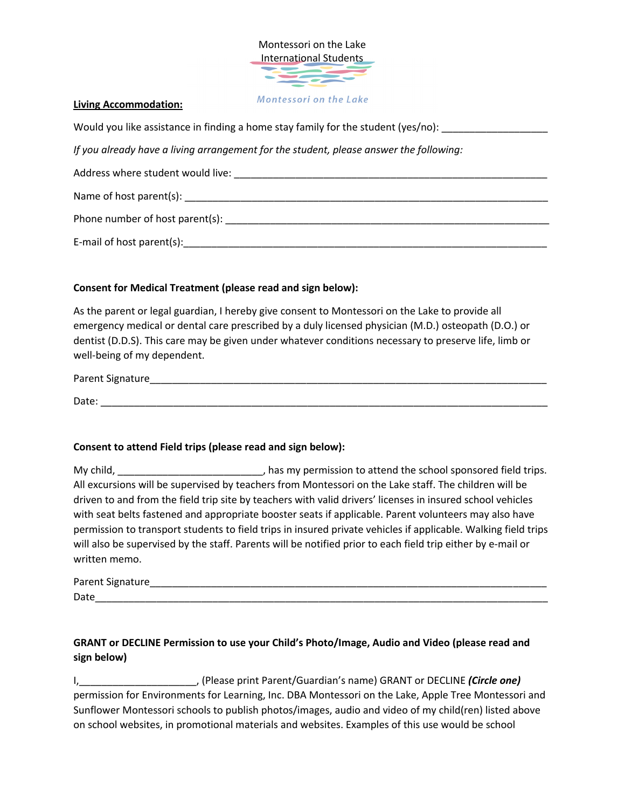

### **Living Accommodation:**

Would you like assistance in finding a home stay family for the student (yes/no): \_\_\_\_\_\_\_\_\_\_\_\_\_\_\_\_\_

*If you already have a living arrangement for the student, please answer the following:* 

Address where student would live: \_\_\_\_\_\_\_\_\_\_\_\_\_\_\_\_\_\_\_\_\_\_\_\_\_\_\_\_\_\_\_\_\_\_\_\_\_\_\_\_\_\_\_\_\_\_\_\_\_\_\_\_\_\_\_\_

Name of host parent(s): \_\_\_\_\_\_\_\_\_\_\_\_\_\_\_\_\_\_\_\_\_\_\_\_\_\_\_\_\_\_\_\_\_\_\_\_\_\_\_\_\_\_\_\_\_\_\_\_\_\_\_\_\_\_\_\_\_\_\_\_\_\_\_\_\_

Phone number of host parent(s): \_\_\_\_\_\_\_\_\_\_\_\_\_\_\_\_\_\_\_\_\_\_\_\_\_\_\_\_\_\_\_\_\_\_\_\_\_\_\_\_\_\_\_\_\_\_\_\_\_\_\_\_\_\_\_\_\_\_

E-mail of host parent(s):\_\_\_\_\_\_\_\_\_\_\_\_\_\_\_\_\_\_\_\_\_\_\_\_\_\_\_\_\_\_\_\_\_\_\_\_\_\_\_\_\_\_\_\_\_\_\_\_\_\_\_\_\_\_\_\_\_\_\_\_\_\_\_\_\_

## **Consent for Medical Treatment (please read and sign below):**

As the parent or legal guardian, I hereby give consent to Montessori on the Lake to provide all emergency medical or dental care prescribed by a duly licensed physician (M.D.) osteopath (D.O.) or dentist (D.D.S). This care may be given under whatever conditions necessary to preserve life, limb or well-being of my dependent.

| Parent Signature |  |  |
|------------------|--|--|
| Date:            |  |  |

## **Consent to attend Field trips (please read and sign below):**

My child, \_\_\_\_\_\_\_\_\_\_\_\_\_\_\_\_\_\_\_\_\_\_\_\_\_\_\_\_\_, has my permission to attend the school sponsored field trips. All excursions will be supervised by teachers from Montessori on the Lake staff. The children will be driven to and from the field trip site by teachers with valid drivers' licenses in insured school vehicles with seat belts fastened and appropriate booster seats if applicable. Parent volunteers may also have permission to transport students to field trips in insured private vehicles if applicable. Walking field trips will also be supervised by the staff. Parents will be notified prior to each field trip either by e-mail or written memo.

| Parent Signature |  |
|------------------|--|
| Date             |  |

# **GRANT or DECLINE Permission to use your Child's Photo/Image, Audio and Video (please read and sign below)**

I,\_\_\_\_\_\_\_\_\_\_\_\_\_\_\_\_\_\_\_\_\_, (Please print Parent/Guardian's name) GRANT or DECLINE *(Circle one)*  permission for Environments for Learning, Inc. DBA Montessori on the Lake, Apple Tree Montessori and Sunflower Montessori schools to publish photos/images, audio and video of my child(ren) listed above on school websites, in promotional materials and websites. Examples of this use would be school